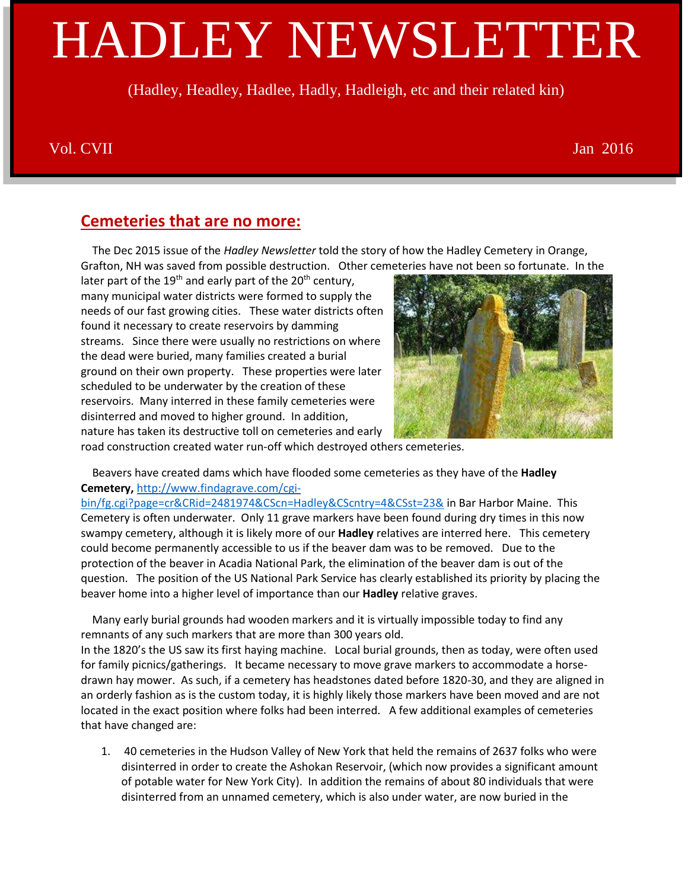# HADLEY NEWSLETTER

(Hadley, Headley, Hadlee, Hadly, Hadleigh, etc and their related kin)

#### Vol. CVII Jan 2016

## **Cemeteries that are no more:**

 The Dec 2015 issue of the *Hadley Newsletter* told the story of how the Hadley Cemetery in Orange, Grafton, NH was saved from possible destruction. Other cemeteries have not been so fortunate. In the

later part of the  $19<sup>th</sup>$  and early part of the  $20<sup>th</sup>$  century, many municipal water districts were formed to supply the needs of our fast growing cities. These water districts often found it necessary to create reservoirs by damming streams. Since there were usually no restrictions on where the dead were buried, many families created a burial ground on their own property. These properties were later scheduled to be underwater by the creation of these reservoirs. Many interred in these family cemeteries were disinterred and moved to higher ground. In addition, nature has taken its destructive toll on cemeteries and early



road construction created water run-off which destroyed others cemeteries.

 Beavers have created dams which have flooded some cemeteries as they have of the **Hadley Cemetery,** [http://www.findagrave.com/cgi-](http://www.findagrave.com/cgi-bin/fg.cgi?page=cr&CRid=2481974&CScn=Hadley&CScntry=4&CSst=23&)

[bin/fg.cgi?page=cr&CRid=2481974&CScn=Hadley&CScntry=4&CSst=23&](http://www.findagrave.com/cgi-bin/fg.cgi?page=cr&CRid=2481974&CScn=Hadley&CScntry=4&CSst=23&) in Bar Harbor Maine. This Cemetery is often underwater. Only 11 grave markers have been found during dry times in this now swampy cemetery, although it is likely more of our **Hadley** relatives are interred here. This cemetery could become permanently accessible to us if the beaver dam was to be removed. Due to the protection of the beaver in Acadia National Park, the elimination of the beaver dam is out of the question. The position of the US National Park Service has clearly established its priority by placing the beaver home into a higher level of importance than our **Hadley** relative graves.

 Many early burial grounds had wooden markers and it is virtually impossible today to find any remnants of any such markers that are more than 300 years old.

In the 1820's the US saw its first haying machine. Local burial grounds, then as today, were often used for family picnics/gatherings. It became necessary to move grave markers to accommodate a horsedrawn hay mower. As such, if a cemetery has headstones dated before 1820-30, and they are aligned in an orderly fashion as is the custom today, it is highly likely those markers have been moved and are not located in the exact position where folks had been interred. A few additional examples of cemeteries that have changed are:

1. 40 cemeteries in the Hudson Valley of New York that held the remains of 2637 folks who were disinterred in order to create the Ashokan Reservoir, (which now provides a significant amount of potable water for New York City). In addition the remains of about 80 individuals that were disinterred from an unnamed cemetery, which is also under water, are now buried in the